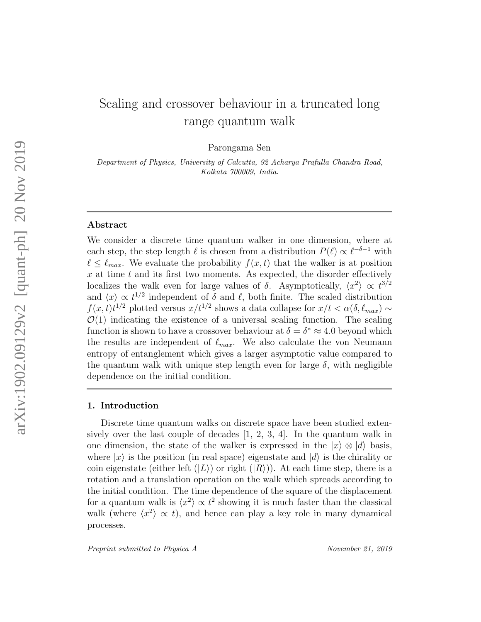# Scaling and crossover behaviour in a truncated long range quantum walk

Parongama Sen

Department of Physics, University of Calcutta, 92 Acharya Prafulla Chandra Road, Kolkata 700009, India.

# Abstract

We consider a discrete time quantum walker in one dimension, where at each step, the step length  $\ell$  is chosen from a distribution  $P(\ell) \propto \ell^{-\delta-1}$  with  $\ell \leq \ell_{max}$ . We evaluate the probability  $f(x, t)$  that the walker is at position  $x$  at time  $t$  and its first two moments. As expected, the disorder effectively localizes the walk even for large values of  $\delta$ . Asymptotically,  $\langle x^2 \rangle \propto t^{3/2}$ and  $\langle x \rangle \propto t^{1/2}$  independent of  $\delta$  and  $\ell$ , both finite. The scaled distribution  $f(x, t)t^{1/2}$  plotted versus  $x/t^{1/2}$  shows a data collapse for  $x/t < \alpha(\delta, \ell_{max}) \sim$  $\mathcal{O}(1)$  indicating the existence of a universal scaling function. The scaling function is shown to have a crossover behaviour at  $\delta = \delta^* \approx 4.0$  beyond which the results are independent of  $\ell_{max}$ . We also calculate the von Neumann entropy of entanglement which gives a larger asymptotic value compared to the quantum walk with unique step length even for large  $\delta$ , with negligible dependence on the initial condition.

# 1. Introduction

Discrete time quantum walks on discrete space have been studied extensively over the last couple of decades  $[1, 2, 3, 4]$ . In the quantum walk in one dimension, the state of the walker is expressed in the  $|x\rangle \otimes |d\rangle$  basis, where  $|x\rangle$  is the position (in real space) eigenstate and  $|d\rangle$  is the chirality or coin eigenstate (either left  $(|L\rangle)$  or right  $(|R\rangle)$ ). At each time step, there is a rotation and a translation operation on the walk which spreads according to the initial condition. The time dependence of the square of the displacement for a quantum walk is  $\langle x^2 \rangle \propto t^2$  showing it is much faster than the classical walk (where  $\langle x^2 \rangle \propto t$ ), and hence can play a key role in many dynamical processes.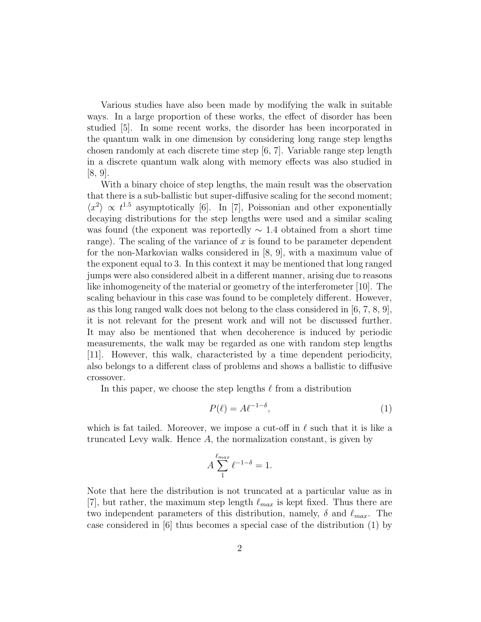Various studies have also been made by modifying the walk in suitable ways. In a large proportion of these works, the effect of disorder has been studied [5]. In some recent works, the disorder has been incorporated in the quantum walk in one dimension by considering long range step lengths chosen randomly at each discrete time step [6, 7]. Variable range step length in a discrete quantum walk along with memory effects was also studied in [8, 9].

With a binary choice of step lengths, the main result was the observation that there is a sub-ballistic but super-diffusive scaling for the second moment;  $\langle x^2 \rangle \propto t^{1.5}$  asymptotically [6]. In [7], Poissonian and other exponentially decaying distributions for the step lengths were used and a similar scaling was found (the exponent was reportedly  $\sim$  1.4 obtained from a short time range). The scaling of the variance of  $x$  is found to be parameter dependent for the non-Markovian walks considered in [8, 9], with a maximum value of the exponent equal to 3. In this context it may be mentioned that long ranged jumps were also considered albeit in a different manner, arising due to reasons like inhomogeneity of the material or geometry of the interferometer [10]. The scaling behaviour in this case was found to be completely different. However, as this long ranged walk does not belong to the class considered in [6, 7, 8, 9], it is not relevant for the present work and will not be discussed further. It may also be mentioned that when decoherence is induced by periodic measurements, the walk may be regarded as one with random step lengths [11]. However, this walk, characteristed by a time dependent periodicity, also belongs to a different class of problems and shows a ballistic to diffusive crossover.

In this paper, we choose the step lengths  $\ell$  from a distribution

$$
P(\ell) = A\ell^{-1-\delta},\tag{1}
$$

which is fat tailed. Moreover, we impose a cut-off in  $\ell$  such that it is like a truncated Levy walk. Hence A, the normalization constant, is given by

$$
A \sum_{1}^{\ell_{max}} \ell^{-1-\delta} = 1.
$$

Note that here the distribution is not truncated at a particular value as in [7], but rather, the maximum step length  $\ell_{max}$  is kept fixed. Thus there are two independent parameters of this distribution, namely,  $\delta$  and  $\ell_{max}$ . The case considered in [6] thus becomes a special case of the distribution (1) by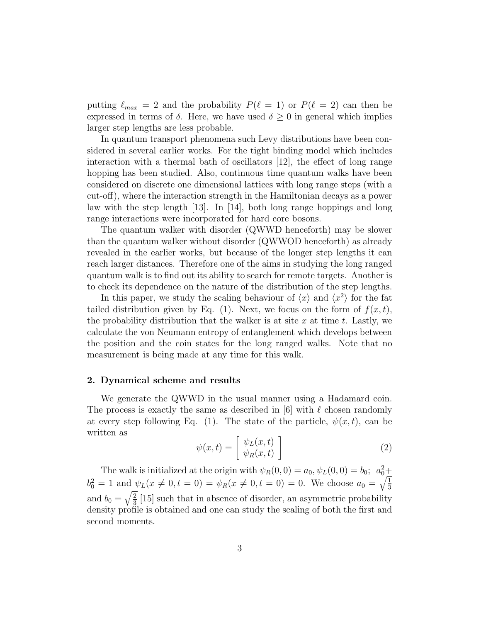putting  $\ell_{max} = 2$  and the probability  $P(\ell = 1)$  or  $P(\ell = 2)$  can then be expressed in terms of  $\delta$ . Here, we have used  $\delta \geq 0$  in general which implies larger step lengths are less probable.

In quantum transport phenomena such Levy distributions have been considered in several earlier works. For the tight binding model which includes interaction with a thermal bath of oscillators [12], the effect of long range hopping has been studied. Also, continuous time quantum walks have been considered on discrete one dimensional lattices with long range steps (with a cut-off), where the interaction strength in the Hamiltonian decays as a power law with the step length [13]. In [14], both long range hoppings and long range interactions were incorporated for hard core bosons.

The quantum walker with disorder (QWWD henceforth) may be slower than the quantum walker without disorder (QWWOD henceforth) as already revealed in the earlier works, but because of the longer step lengths it can reach larger distances. Therefore one of the aims in studying the long ranged quantum walk is to find out its ability to search for remote targets. Another is to check its dependence on the nature of the distribution of the step lengths.

In this paper, we study the scaling behaviour of  $\langle x \rangle$  and  $\langle x^2 \rangle$  for the fat tailed distribution given by Eq. (1). Next, we focus on the form of  $f(x, t)$ , the probability distribution that the walker is at site x at time t. Lastly, we calculate the von Neumann entropy of entanglement which develops between the position and the coin states for the long ranged walks. Note that no measurement is being made at any time for this walk.

# 2. Dynamical scheme and results

We generate the QWWD in the usual manner using a Hadamard coin. The process is exactly the same as described in [6] with  $\ell$  chosen randomly at every step following Eq. (1). The state of the particle,  $\psi(x, t)$ , can be written as

$$
\psi(x,t) = \begin{bmatrix} \psi_L(x,t) \\ \psi_R(x,t) \end{bmatrix}
$$
\n(2)

The walk is initialized at the origin with  $\psi_R(0,0) = a_0, \psi_L(0,0) = b_0; a_0^2 +$  $b_0^2 = 1$  and  $\psi_L(x \neq 0, t = 0) = \psi_R(x \neq 0, t = 0) = 0$ . We choose  $a_0 = \sqrt{\frac{1}{3}}$ and  $b_0 = \sqrt{\frac{2}{3}}$  [15] such that in absence of disorder, an asymmetric probability density profile is obtained and one can study the scaling of both the first and second moments.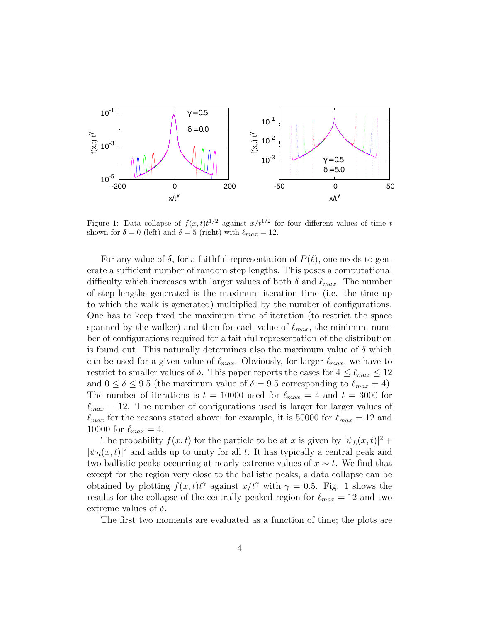

Figure 1: Data collapse of  $f(x,t)t^{1/2}$  against  $x/t^{1/2}$  for four different values of time t shown for  $\delta = 0$  (left) and  $\delta = 5$  (right) with  $\ell_{max} = 12$ .

For any value of  $\delta$ , for a faithful representation of  $P(\ell)$ , one needs to generate a sufficient number of random step lengths. This poses a computational difficulty which increases with larger values of both  $\delta$  and  $\ell_{max}$ . The number of step lengths generated is the maximum iteration time (i.e. the time up to which the walk is generated) multiplied by the number of configurations. One has to keep fixed the maximum time of iteration (to restrict the space spanned by the walker) and then for each value of  $\ell_{max}$ , the minimum number of configurations required for a faithful representation of the distribution is found out. This naturally determines also the maximum value of  $\delta$  which can be used for a given value of  $\ell_{max}$ . Obviously, for larger  $\ell_{max}$ , we have to restrict to smaller values of  $\delta$ . This paper reports the cases for  $4 \leq \ell_{max} \leq 12$ and  $0 \le \delta \le 9.5$  (the maximum value of  $\delta = 9.5$  corresponding to  $\ell_{max} = 4$ ). The number of iterations is  $t = 10000$  used for  $\ell_{max} = 4$  and  $t = 3000$  for  $\ell_{max} = 12$ . The number of configurations used is larger for larger values of  $\ell_{max}$  for the reasons stated above; for example, it is 50000 for  $\ell_{max} = 12$  and 10000 for  $\ell_{max} = 4$ .

The probability  $f(x,t)$  for the particle to be at x is given by  $|\psi_L(x,t)|^2 +$  $|\psi_R(x,t)|^2$  and adds up to unity for all t. It has typically a central peak and two ballistic peaks occurring at nearly extreme values of  $x \sim t$ . We find that except for the region very close to the ballistic peaks, a data collapse can be obtained by plotting  $f(x,t)t^{\gamma}$  against  $x/t^{\gamma}$  with  $\gamma = 0.5$ . Fig. 1 shows the results for the collapse of the centrally peaked region for  $\ell_{max} = 12$  and two extreme values of  $\delta$ .

The first two moments are evaluated as a function of time; the plots are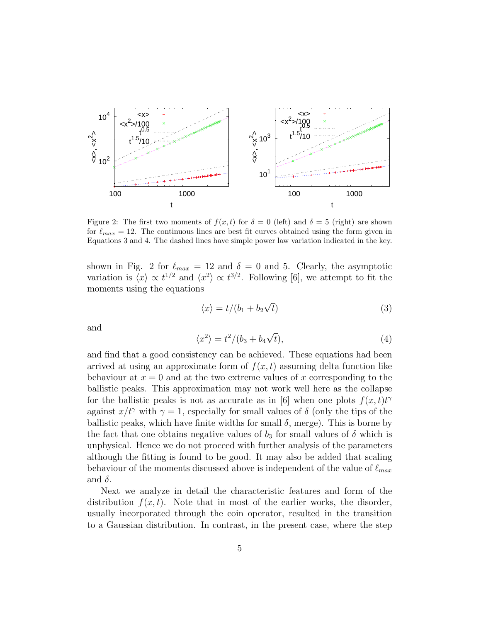

Figure 2: The first two moments of  $f(x, t)$  for  $\delta = 0$  (left) and  $\delta = 5$  (right) are shown for  $\ell_{max} = 12$ . The continuous lines are best fit curves obtained using the form given in Equations 3 and 4. The dashed lines have simple power law variation indicated in the key.

shown in Fig. 2 for  $\ell_{max} = 12$  and  $\delta = 0$  and 5. Clearly, the asymptotic variation is  $\langle x \rangle \propto t^{1/2}$  and  $\langle x^2 \rangle \propto t^{3/2}$ . Following [6], we attempt to fit the moments using the equations

$$
\langle x \rangle = t/(b_1 + b_2\sqrt{t})
$$
\n(3)

and

$$
\langle x^2 \rangle = t^2 / (b_3 + b_4 \sqrt{t}), \qquad (4)
$$

and find that a good consistency can be achieved. These equations had been arrived at using an approximate form of  $f(x, t)$  assuming delta function like behaviour at  $x = 0$  and at the two extreme values of x corresponding to the ballistic peaks. This approximation may not work well here as the collapse for the ballistic peaks is not as accurate as in [6] when one plots  $f(x,t)t^{\gamma}$ against  $x/t^{\gamma}$  with  $\gamma = 1$ , especially for small values of  $\delta$  (only the tips of the ballistic peaks, which have finite widths for small  $\delta$ , merge). This is borne by the fact that one obtains negative values of  $b_3$  for small values of  $\delta$  which is unphysical. Hence we do not proceed with further analysis of the parameters although the fitting is found to be good. It may also be added that scaling behaviour of the moments discussed above is independent of the value of  $\ell_{max}$ and  $\delta$ .

Next we analyze in detail the characteristic features and form of the distribution  $f(x, t)$ . Note that in most of the earlier works, the disorder, usually incorporated through the coin operator, resulted in the transition to a Gaussian distribution. In contrast, in the present case, where the step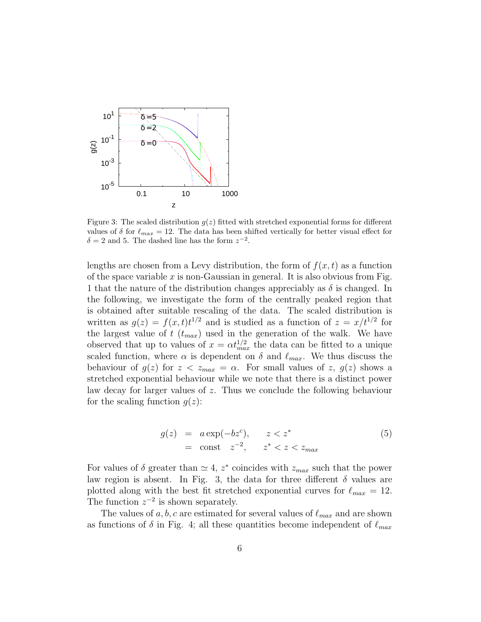

Figure 3: The scaled distribution  $q(z)$  fitted with stretched exponential forms for different values of  $\delta$  for  $\ell_{max} = 12$ . The data has been shifted vertically for better visual effect for  $\delta = 2$  and 5. The dashed line has the form  $z^{-2}$ .

lengths are chosen from a Levy distribution, the form of  $f(x, t)$  as a function of the space variable x is non-Gaussian in general. It is also obvious from Fig. 1 that the nature of the distribution changes appreciably as  $\delta$  is changed. In the following, we investigate the form of the centrally peaked region that is obtained after suitable rescaling of the data. The scaled distribution is written as  $g(z) = f(x, t)t^{1/2}$  and is studied as a function of  $z = x/t^{1/2}$  for the largest value of  $t$  ( $t_{max}$ ) used in the generation of the walk. We have observed that up to values of  $x = \alpha t_{max}^{1/2}$  the data can be fitted to a unique scaled function, where  $\alpha$  is dependent on  $\delta$  and  $\ell_{max}$ . We thus discuss the behaviour of  $g(z)$  for  $z < z_{max} = \alpha$ . For small values of z,  $g(z)$  shows a stretched exponential behaviour while we note that there is a distinct power law decay for larger values of z. Thus we conclude the following behaviour for the scaling function  $g(z)$ :

$$
g(z) = a \exp(-bz^c), \qquad z < z^* = \text{const} \quad z^{-2}, \qquad z^* < z < z_{\text{max}} \tag{5}
$$

For values of  $\delta$  greater than  $\simeq 4$ ,  $z^*$  coincides with  $z_{max}$  such that the power law region is absent. In Fig. 3, the data for three different  $\delta$  values are plotted along with the best fit stretched exponential curves for  $\ell_{max} = 12$ . The function  $z^{-2}$  is shown separately.

The values of  $a, b, c$  are estimated for several values of  $\ell_{max}$  and are shown as functions of  $\delta$  in Fig. 4; all these quantities become independent of  $\ell_{max}$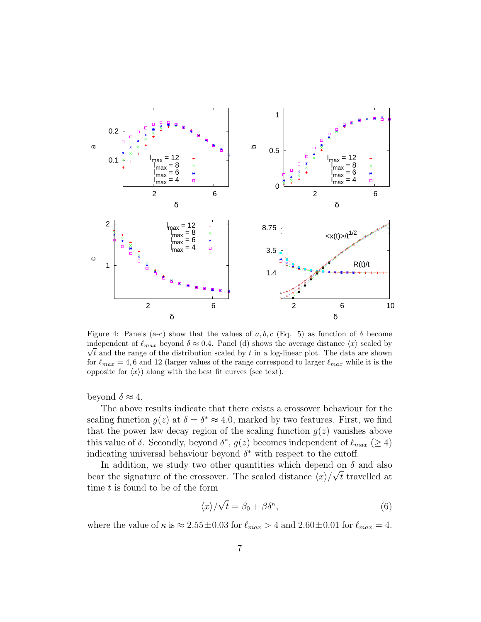

Figure 4: Panels (a-c) show that the values of a, b, c (Eq. 5) as function of  $\delta$  become independent of  $\ell_{max}$  beyond  $\delta \approx 0.4$ . Panel (d) shows the average distance  $\langle x \rangle$  scaled by  $\sqrt{t}$  and the range of the distribution scaled by t in a log-linear plot. The data are shown for  $\ell_{max} = 4, 6$  and 12 (larger values of the range correspond to larger  $\ell_{max}$  while it is the opposite for  $\langle x \rangle$ ) along with the best fit curves (see text).

beyond  $\delta \approx 4$ .

The above results indicate that there exists a crossover behaviour for the scaling function  $g(z)$  at  $\delta = \delta^* \approx 4.0$ , marked by two features. First, we find that the power law decay region of the scaling function  $g(z)$  vanishes above this value of  $\delta$ . Secondly, beyond  $\delta^*$ ,  $g(z)$  becomes independent of  $\ell_{max}$  ( $\geq 4$ ) indicating universal behaviour beyond  $\delta^*$  with respect to the cutoff.

In addition, we study two other quantities which depend on  $\delta$  and also bear the signature of the crossover. The scaled distance  $\langle x \rangle / \sqrt{t}$  travelled at time  $t$  is found to be of the form

$$
\langle x \rangle / \sqrt{t} = \beta_0 + \beta \delta^{\kappa}, \tag{6}
$$

where the value of  $\kappa$  is  $\approx 2.55 \pm 0.03$  for  $\ell_{max} > 4$  and  $2.60 \pm 0.01$  for  $\ell_{max} = 4$ .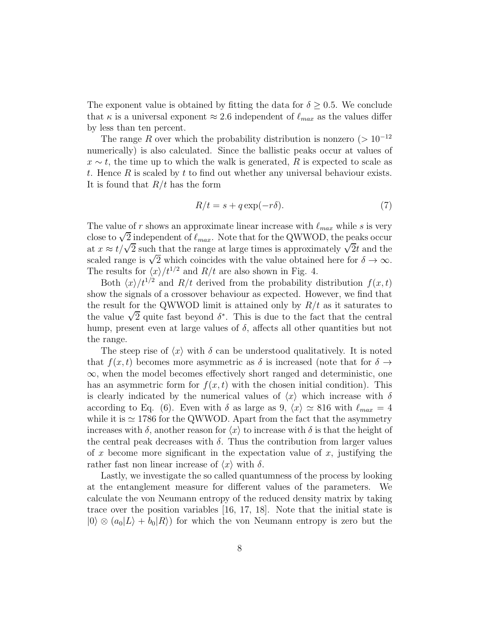The exponent value is obtained by fitting the data for  $\delta \geq 0.5$ . We conclude that  $\kappa$  is a universal exponent  $\approx 2.6$  independent of  $\ell_{max}$  as the values differ by less than ten percent.

The range R over which the probability distribution is nonzero ( $> 10^{-12}$ ) numerically) is also calculated. Since the ballistic peaks occur at values of  $x \sim t$ , the time up to which the walk is generated, R is expected to scale as t. Hence  $R$  is scaled by  $t$  to find out whether any universal behaviour exists. It is found that  $R/t$  has the form

$$
R/t = s + q \exp(-r\delta). \tag{7}
$$

The value of r shows an approximate linear increase with  $\ell_{max}$  while s is very close to  $\sqrt{2}$  independent of  $\ell_{max}$ . Note that for the QWWOD, the peaks occur at  $x \approx t/\sqrt{2}$  such that the range at large times is approximately  $\sqrt{2}t$  and the scaled range is  $\sqrt{2}$  which coincides with the value obtained here for  $\delta \to \infty$ . The results for  $\langle x \rangle /t^{1/2}$  and  $R/t$  are also shown in Fig. 4.

Both  $\langle x \rangle / t^{1/2}$  and  $R/t$  derived from the probability distribution  $f(x, t)$ show the signals of a crossover behaviour as expected. However, we find that the result for the QWWOD limit is attained only by  $R/t$  as it saturates to the value  $\sqrt{2}$  quite fast beyond  $\delta^*$ . This is due to the fact that the central hump, present even at large values of  $\delta$ , affects all other quantities but not the range.

The steep rise of  $\langle x \rangle$  with  $\delta$  can be understood qualitatively. It is noted that  $f(x, t)$  becomes more asymmetric as  $\delta$  is increased (note that for  $\delta \to$  $\infty$ , when the model becomes effectively short ranged and deterministic, one has an asymmetric form for  $f(x, t)$  with the chosen initial condition). This is clearly indicated by the numerical values of  $\langle x \rangle$  which increase with  $\delta$ according to Eq. (6). Even with  $\delta$  as large as 9,  $\langle x \rangle \simeq 816$  with  $\ell_{max} = 4$ while it is  $\simeq$  1786 for the QWWOD. Apart from the fact that the asymmetry increases with  $\delta$ , another reason for  $\langle x \rangle$  to increase with  $\delta$  is that the height of the central peak decreases with  $\delta$ . Thus the contribution from larger values of x become more significant in the expectation value of  $x$ , justifying the rather fast non linear increase of  $\langle x \rangle$  with  $\delta$ .

Lastly, we investigate the so called quantumness of the process by looking at the entanglement measure for different values of the parameters. We calculate the von Neumann entropy of the reduced density matrix by taking trace over the position variables [16, 17, 18]. Note that the initial state is  $|0\rangle \otimes (a_0|L\rangle + b_0|R\rangle)$  for which the von Neumann entropy is zero but the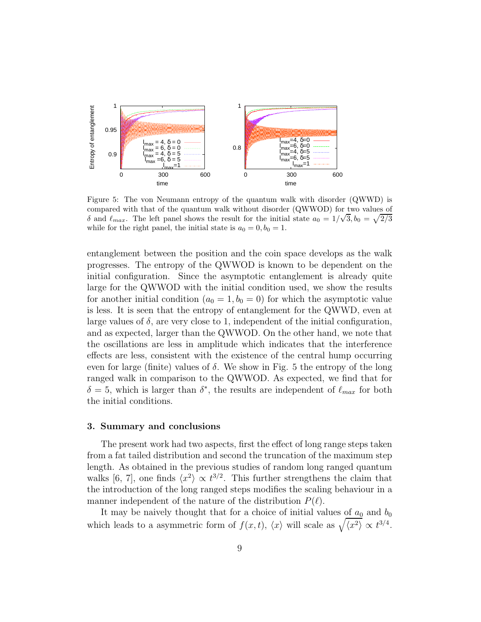

Figure 5: The von Neumann entropy of the quantum walk with disorder (QWWD) is compared with that of the quantum walk without disorder (QWWOD) for two values of  $\delta$  and  $\ell_{max}$ . The left panel shows the result for the initial state  $a_0 = 1/\sqrt{3}$ ,  $b_0 = \sqrt{2/3}$ while for the right panel, the initial state is  $a_0 = 0, b_0 = 1$ .

entanglement between the position and the coin space develops as the walk progresses. The entropy of the QWWOD is known to be dependent on the initial configuration. Since the asymptotic entanglement is already quite large for the QWWOD with the initial condition used, we show the results for another initial condition  $(a_0 = 1, b_0 = 0)$  for which the asymptotic value is less. It is seen that the entropy of entanglement for the QWWD, even at large values of  $\delta$ , are very close to 1, independent of the initial configuration, and as expected, larger than the QWWOD. On the other hand, we note that the oscillations are less in amplitude which indicates that the interference effects are less, consistent with the existence of the central hump occurring even for large (finite) values of  $\delta$ . We show in Fig. 5 the entropy of the long ranged walk in comparison to the QWWOD. As expected, we find that for  $\delta = 5$ , which is larger than  $\delta^*$ , the results are independent of  $\ell_{max}$  for both the initial conditions.

#### 3. Summary and conclusions

The present work had two aspects, first the effect of long range steps taken from a fat tailed distribution and second the truncation of the maximum step length. As obtained in the previous studies of random long ranged quantum walks [6, 7], one finds  $\langle x^2 \rangle \propto t^{3/2}$ . This further strengthens the claim that the introduction of the long ranged steps modifies the scaling behaviour in a manner independent of the nature of the distribution  $P(\ell)$ .

It may be naively thought that for a choice of initial values of  $a_0$  and  $b_0$ which leads to a asymmetric form of  $f(x,t)$ ,  $\langle x \rangle$  will scale as  $\sqrt{\langle x^2 \rangle} \propto t^{3/4}$ .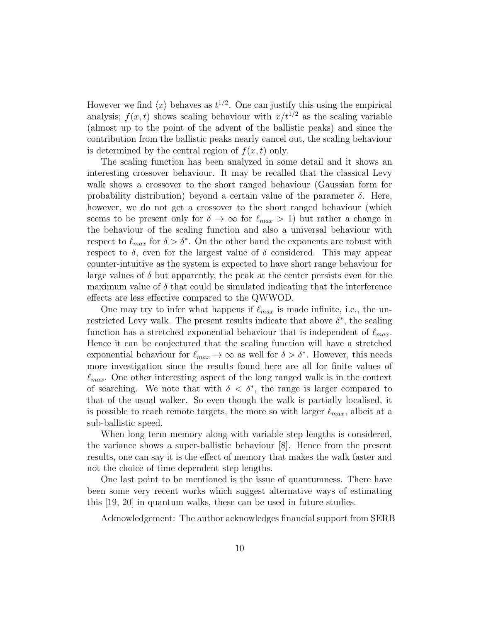However we find  $\langle x \rangle$  behaves as  $t^{1/2}$ . One can justify this using the empirical analysis;  $f(x, t)$  shows scaling behaviour with  $x/t^{1/2}$  as the scaling variable (almost up to the point of the advent of the ballistic peaks) and since the contribution from the ballistic peaks nearly cancel out, the scaling behaviour is determined by the central region of  $f(x, t)$  only.

The scaling function has been analyzed in some detail and it shows an interesting crossover behaviour. It may be recalled that the classical Levy walk shows a crossover to the short ranged behaviour (Gaussian form for probability distribution) beyond a certain value of the parameter  $\delta$ . Here, however, we do not get a crossover to the short ranged behaviour (which seems to be present only for  $\delta \to \infty$  for  $\ell_{max} > 1$ ) but rather a change in the behaviour of the scaling function and also a universal behaviour with respect to  $\ell_{max}$  for  $\delta > \delta^*$ . On the other hand the exponents are robust with respect to  $\delta$ , even for the largest value of  $\delta$  considered. This may appear counter-intuitive as the system is expected to have short range behaviour for large values of  $\delta$  but apparently, the peak at the center persists even for the maximum value of  $\delta$  that could be simulated indicating that the interference effects are less effective compared to the QWWOD.

One may try to infer what happens if  $\ell_{max}$  is made infinite, i.e., the unrestricted Levy walk. The present results indicate that above  $\delta^*$ , the scaling function has a stretched exponential behaviour that is independent of  $\ell_{max}$ . Hence it can be conjectured that the scaling function will have a stretched exponential behaviour for  $\ell_{max} \to \infty$  as well for  $\delta > \delta^*$ . However, this needs more investigation since the results found here are all for finite values of  $\ell_{max}$ . One other interesting aspect of the long ranged walk is in the context of searching. We note that with  $\delta < \delta^*$ , the range is larger compared to that of the usual walker. So even though the walk is partially localised, it is possible to reach remote targets, the more so with larger  $\ell_{max}$ , albeit at a sub-ballistic speed.

When long term memory along with variable step lengths is considered, the variance shows a super-ballistic behaviour [8]. Hence from the present results, one can say it is the effect of memory that makes the walk faster and not the choice of time dependent step lengths.

One last point to be mentioned is the issue of quantumness. There have been some very recent works which suggest alternative ways of estimating this [19, 20] in quantum walks, these can be used in future studies.

Acknowledgement: The author acknowledges financial support from SERB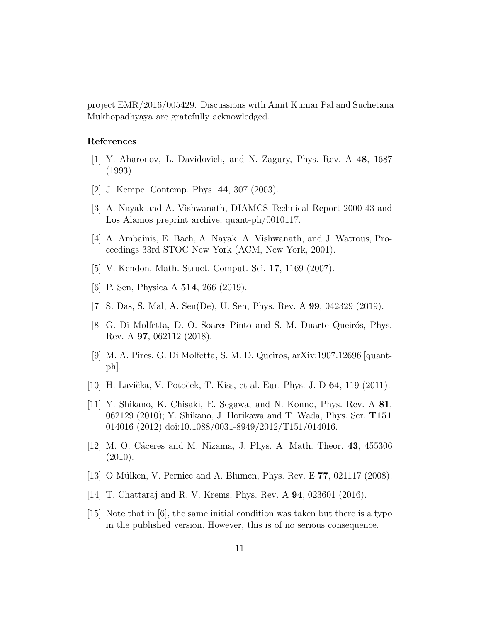project EMR/2016/005429. Discussions with Amit Kumar Pal and Suchetana Mukhopadhyaya are gratefully acknowledged.

### References

- [1] Y. Aharonov, L. Davidovich, and N. Zagury, Phys. Rev. A 48, 1687 (1993).
- [2] J. Kempe, Contemp. Phys. 44, 307 (2003).
- [3] A. Nayak and A. Vishwanath, DIAMCS Technical Report 2000-43 and Los Alamos preprint archive, quant-ph/0010117.
- [4] A. Ambainis, E. Bach, A. Nayak, A. Vishwanath, and J. Watrous, Proceedings 33rd STOC New York (ACM, New York, 2001).
- [5] V. Kendon, Math. Struct. Comput. Sci. 17, 1169 (2007).
- [6] P. Sen, Physica A 514, 266 (2019).
- [7] S. Das, S. Mal, A. Sen(De), U. Sen, Phys. Rev. A 99, 042329 (2019).
- [8] G. Di Molfetta, D. O. Soares-Pinto and S. M. Duarte Queirós, Phys. Rev. A 97, 062112 (2018).
- [9] M. A. Pires, G. Di Molfetta, S. M. D. Queiros, arXiv:1907.12696 [quantph].
- [10] H. Lavička, V. Potoček, T. Kiss, et al. Eur. Phys. J. D 64, 119 (2011).
- [11] Y. Shikano, K. Chisaki, E. Segawa, and N. Konno, Phys. Rev. A 81, 062129 (2010); Y. Shikano, J. Horikawa and T. Wada, Phys. Scr. T151 014016 (2012) doi:10.1088/0031-8949/2012/T151/014016.
- [12] M. O. Cáceres and M. Nizama, J. Phys. A: Math. Theor. 43, 455306  $(2010).$
- [13] O Mülken, V. Pernice and A. Blumen, Phys. Rev. E  $77$ , 021117 (2008).
- [14] T. Chattaraj and R. V. Krems, Phys. Rev. A 94, 023601 (2016).
- [15] Note that in [6], the same initial condition was taken but there is a typo in the published version. However, this is of no serious consequence.